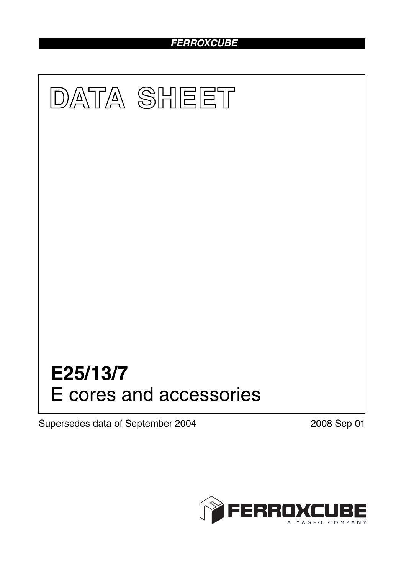# *FERROXCUBE*



Supersedes data of September 2004 2008 Sep 01

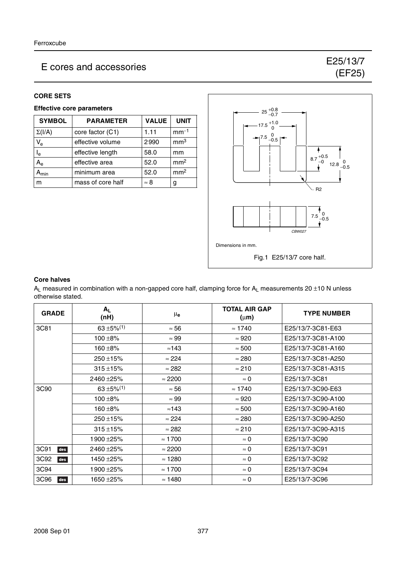### **CORE SETS**

# **Effective core parameters**

| <b>SYMBOL</b>             | <b>PARAMETER</b>                      | <b>VALUE</b>    | <b>UNIT</b>     |
|---------------------------|---------------------------------------|-----------------|-----------------|
| $\Sigma(I/A)$             | 1.11<br>core factor (C1)              |                 | $mm-1$          |
| $V_{e}$                   | effective volume                      | mm <sup>3</sup> |                 |
| l <sub>e</sub>            | 58.0<br>effective length              |                 | mm              |
| A <sub>e</sub>            | 52.0<br>effective area                |                 | mm <sup>2</sup> |
| $\mathbf{A}_{\text{min}}$ | minimum area<br>52.0                  |                 | mm <sup>2</sup> |
| m                         | mass of core half<br>$\approx 8$<br>g |                 |                 |



#### **Core halves**

 $A_L$  measured in combination with a non-gapped core half, clamping force for  $A_L$  measurements 20 ±10 N unless otherwise stated.

| <b>GRADE</b> | $A_L$<br>(nH)             | $\mu_{\mathbf{e}}$ | <b>TOTAL AIR GAP</b><br>$(\mu m)$ | <b>TYPE NUMBER</b> |
|--------------|---------------------------|--------------------|-----------------------------------|--------------------|
| 3C81         | $63 + 5\%/1$              | $\approx 56$       | $\approx 1740$                    | E25/13/7-3C81-E63  |
|              | $100 + 8%$                | $\approx 99$       | $\approx 920$                     | E25/13/7-3C81-A100 |
|              | 160 ±8%                   | $\approx$ 143      | $\approx 500$                     | E25/13/7-3C81-A160 |
|              | $250 + 15%$               | $\approx$ 224      | $\approx 280$                     | E25/13/7-3C81-A250 |
|              | $315 + 15%$               | $\approx$ 282      | $\approx 210$                     | E25/13/7-3C81-A315 |
|              | 2460 ± 25%                | $\approx$ 2200     | $\approx 0$                       | E25/13/7-3C81      |
| 3C90         | $63 + 5\%$ <sup>(1)</sup> | $\approx 56$       | $\approx 1740$                    | E25/13/7-3C90-E63  |
|              | $100 + 8%$                | $\approx 99$       | $\approx 920$                     | E25/13/7-3C90-A100 |
|              | 160 $\pm$ 8%              | $\approx$ 143      | $\approx 500$                     | E25/13/7-3C90-A160 |
|              | $250 + 15%$               | $\approx$ 224      | $\approx 280$                     | E25/13/7-3C90-A250 |
|              | $315 + 15%$               | $\approx$ 282      | $\approx 210$                     | E25/13/7-3C90-A315 |
|              | 1900 ± 25%                | $\approx$ 1700     | $\approx 0$                       | E25/13/7-3C90      |
| 3C91<br>des  | 2460 ± 25%                | $\approx$ 2200     | $\approx 0$                       | E25/13/7-3C91      |
| 3C92<br>des  | 1450 ±25%                 | $\approx$ 1280     | $\approx 0$                       | E25/13/7-3C92      |
| 3C94         | 1900 ± 25%                | $\approx 1700$     | $\approx 0$                       | E25/13/7-3C94      |
| 3C96<br>des  | 1650 ±25%                 | $\approx$ 1480     | $\approx 0$                       | E25/13/7-3C96      |

(EF25)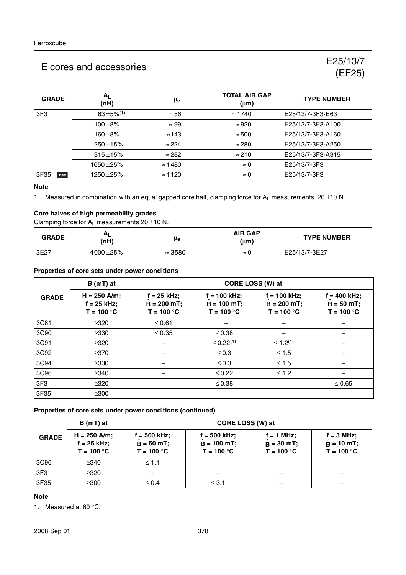| <b>GRADE</b>    | $A_L$<br>(nH)             | $\mu_{\bf e}$  | <b>TOTAL AIR GAP</b><br>$(\mu m)$ | <b>TYPE NUMBER</b> |
|-----------------|---------------------------|----------------|-----------------------------------|--------------------|
| 3F <sub>3</sub> | $63 + 5\%$ <sup>(1)</sup> | $\approx 56$   | $\approx 1740$                    | E25/13/7-3F3-E63   |
|                 | $100 + 8%$                | $\approx 99$   | $\approx 920$                     | E25/13/7-3F3-A100  |
|                 | $160 + 8%$                | $\approx$ 143  | $\approx 500$                     | E25/13/7-3F3-A160  |
|                 | $250 + 15%$               | $\approx$ 224  | $\approx 280$                     | E25/13/7-3F3-A250  |
|                 | $315 + 15%$               | $\approx$ 282  | $\approx$ 210                     | E25/13/7-3F3-A315  |
|                 | 1650 ±25%                 | $\approx$ 1480 | $\approx 0$                       | E25/13/7-3F3       |
| 3F35<br>des     | 1250 ± 25%                | $\approx$ 1120 | $\approx 0$                       | E25/13/7-3F3       |

#### **Note**

1. Measured in combination with an equal gapped core half, clamping force for  $A_L$  measurements, 20 ±10 N.

# **Core halves of high permeability grades**

Clamping force for  $A_L$  measurements 20  $\pm$ 10 N.

| <b>GRADE</b> | $A_L$<br>(nH)  | μe             | <b>AIR GAP</b><br>(μ <b>m</b> ) | <b>TYPE NUMBER</b> |
|--------------|----------------|----------------|---------------------------------|--------------------|
| 3E27         | 4000 $\pm$ 25% | $\approx$ 3580 | $\approx$                       | E25/13/7-3E27      |

#### **Properties of core sets under power conditions**

|                 | $B(mT)$ at<br>CORE LOSS (W) at                  |                                                 |                                                 |                                                  |                                                 |
|-----------------|-------------------------------------------------|-------------------------------------------------|-------------------------------------------------|--------------------------------------------------|-------------------------------------------------|
| <b>GRADE</b>    | $H = 250$ A/m;<br>$f = 25$ kHz;<br>$T = 100 °C$ | $f = 25$ kHz;<br>$B = 200 mT$ ;<br>$T = 100 °C$ | $f = 100$ kHz;<br>$B = 100$ mT;<br>$T = 100 °C$ | $f = 100$ kHz;<br>$B = 200 mT$ ;<br>$T = 100 °C$ | $f = 400$ kHz;<br>$B = 50 mT$ ;<br>$T = 100 °C$ |
| 3C81            | $\geq 320$                                      | $\leq 0.61$                                     |                                                 |                                                  |                                                 |
| 3C90            | $\geq$ 330                                      | $\leq 0.35$                                     | $\leq 0.38$                                     |                                                  |                                                 |
| 3C91            | $\geq 320$                                      |                                                 | $\leq 0.22^{(1)}$                               | $\leq 1.2^{(1)}$                                 |                                                 |
| 3C92            | $\geq$ 370                                      |                                                 | $\leq 0.3$                                      | $≤ 1.5$                                          |                                                 |
| 3C94            | $\geq 330$                                      |                                                 | $\leq 0.3$                                      | $≤ 1.5$                                          |                                                 |
| 3C96            | $\geq$ 340                                      |                                                 | $\leq 0.22$                                     | $≤ 1.2$                                          |                                                 |
| 3F <sub>3</sub> | $\geq 320$                                      |                                                 | $\leq 0.38$                                     |                                                  | $\leq 0.65$                                     |
| 3F35            | $\geq 300$                                      |                                                 |                                                 |                                                  |                                                 |

#### **Properties of core sets under power conditions (continued)**

|                 | $B(mT)$ at                                      | CORE LOSS (W) at                             |                                               |                                              |                                                     |
|-----------------|-------------------------------------------------|----------------------------------------------|-----------------------------------------------|----------------------------------------------|-----------------------------------------------------|
| <b>GRADE</b>    | $H = 250$ A/m;<br>$f = 25$ kHz;<br>$T = 100 °C$ | i = 500 kHz;<br>$B = 50 mT;$<br>$T = 100 °C$ | f = 500 kHz;<br>$B = 100$ mT;<br>$T = 100 °C$ | $f = 1$ MHz;<br>$B = 30$ mT;<br>$T = 100 °C$ | $f = 3 MHz$ ;<br>$\hat{B} = 10$ mT;<br>$T = 100 °C$ |
| 3C96            | $\geq$ 340                                      | $\leq 1.1$                                   |                                               |                                              |                                                     |
| 3F <sub>3</sub> | $\geq 320$                                      |                                              |                                               |                                              |                                                     |
| 3F35            | $\geq$ 300                                      | $\leq 0.4$                                   | $\leq$ 3.1                                    |                                              |                                                     |

### **Note**

1. Measured at 60 °C.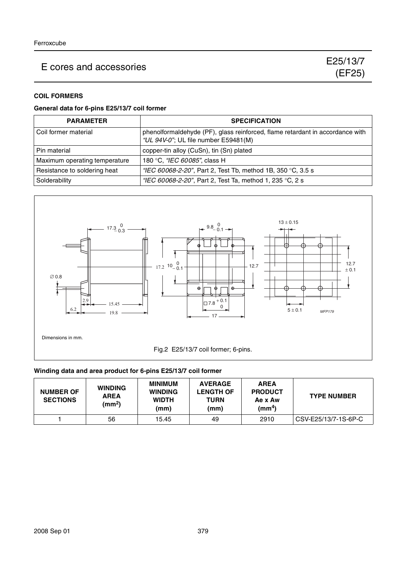# **COIL FORMERS**

### **General data for 6-pins E25/13/7 coil former**

| <b>PARAMETER</b>              | <b>SPECIFICATION</b>                                                                                                  |
|-------------------------------|-----------------------------------------------------------------------------------------------------------------------|
| Coil former material          | phenolformaldehyde (PF), glass reinforced, flame retardant in accordance with<br>"UL 94V-0"; UL file number E59481(M) |
| Pin material                  | copper-tin alloy (CuSn), tin (Sn) plated                                                                              |
| Maximum operating temperature | 180 °C, "IEC 60085", class H                                                                                          |
| Resistance to soldering heat  | "IEC 60068-2-20", Part 2, Test Tb, method 1B, 350 °C, 3.5 s                                                           |
| Solderability                 | "IEC 60068-2-20", Part 2, Test Ta, method 1, 235 °C, 2 s                                                              |



## **Winding data and area product for 6-pins E25/13/7 coil former**

| <b>NUMBER OF</b><br><b>SECTIONS</b> | <b>WINDING</b><br><b>AREA</b><br>(mm <sup>2</sup> ) | <b>MINIMUM</b><br><b>WINDING</b><br><b>WIDTH</b><br>(mm) | <b>AVERAGE</b><br><b>LENGTH OF</b><br>TURN<br>(mm) | <b>AREA</b><br><b>PRODUCT</b><br>Ae x Aw<br>(mm <sup>4</sup> ) | <b>TYPE NUMBER</b>   |
|-------------------------------------|-----------------------------------------------------|----------------------------------------------------------|----------------------------------------------------|----------------------------------------------------------------|----------------------|
|                                     | 56                                                  | 15.45                                                    | 49                                                 | 2910                                                           | CSV-E25/13/7-1S-6P-C |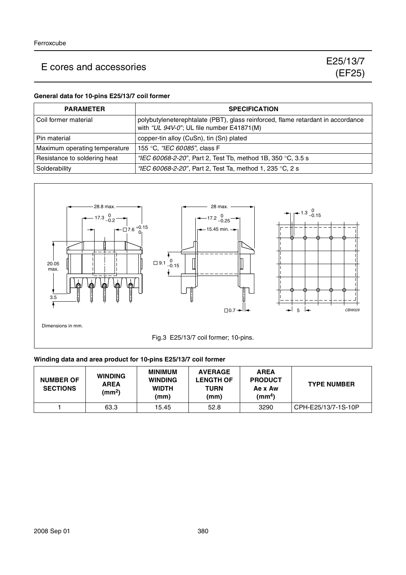#### **General data for 10-pins E25/13/7 coil former**

| <b>PARAMETER</b>              | <b>SPECIFICATION</b>                                                                                                         |
|-------------------------------|------------------------------------------------------------------------------------------------------------------------------|
| l Coil former material        | polybutyleneterephtalate (PBT), glass reinforced, flame retardant in accordance<br>with "UL 94V-0"; UL file number E41871(M) |
| Pin material                  | copper-tin alloy (CuSn), tin (Sn) plated                                                                                     |
| Maximum operating temperature | 155 °C, "IEC 60085", class F                                                                                                 |
| Resistance to soldering heat  | "IEC 60068-2-20", Part 2, Test Tb, method 1B, 350 °C, 3.5 s                                                                  |
| Solderability                 | "IEC 60068-2-20", Part 2, Test Ta, method 1, 235 °C, 2 s                                                                     |



#### **Winding data and area product for 10-pins E25/13/7 coil former**

| <b>NUMBER OF</b><br><b>SECTIONS</b> | <b>WINDING</b><br><b>AREA</b><br>$\text{(mm}^2)$ | <b>MINIMUM</b><br><b>WINDING</b><br><b>WIDTH</b><br>(mm) | <b>AVERAGE</b><br><b>LENGTH OF</b><br>TURN<br>(mm) | <b>AREA</b><br><b>PRODUCT</b><br>Ae x Aw<br>(mm <sup>4</sup> ) | <b>TYPE NUMBER</b>  |
|-------------------------------------|--------------------------------------------------|----------------------------------------------------------|----------------------------------------------------|----------------------------------------------------------------|---------------------|
|                                     | 63.3                                             | 15.45                                                    | 52.8                                               | 3290                                                           | CPH-E25/13/7-1S-10P |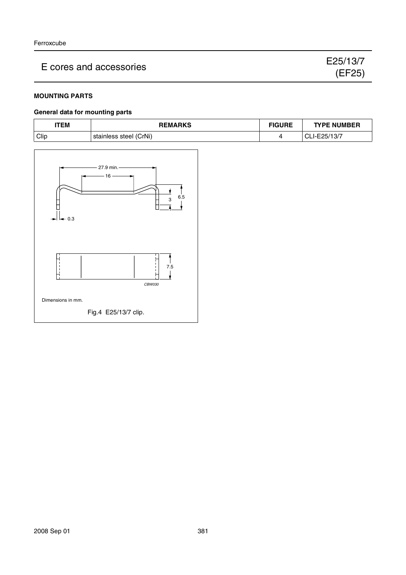### **MOUNTING PARTS**

#### **General data for mounting parts**

| 'TEM | <b>REMARKS</b>         | <b>FIGURE</b> | <b>TYPE NUMBER</b> |
|------|------------------------|---------------|--------------------|
| Clip | stainless steel (CrNi) |               | CLI-E25/13/7       |